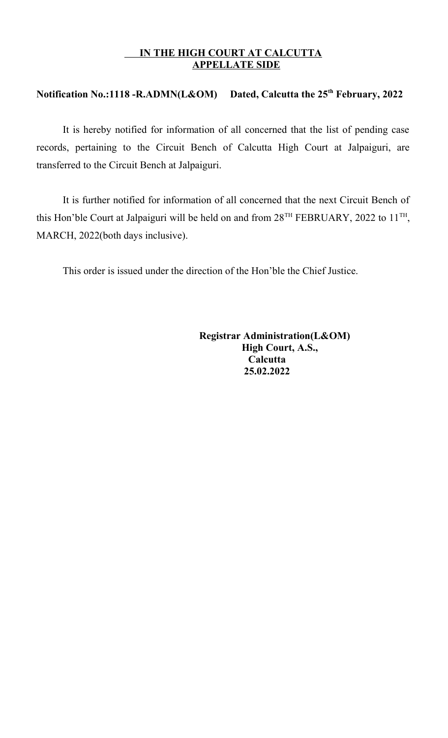## **IN THE HIGH COURT AT CALCUTTA APPELLATE SIDE**

## **Notification No.:1118 -R.ADMN(L&OM) Dated, Calcutta the 25th February, 2022**

It is hereby notified for information of all concerned that the list of pending case records, pertaining to the Circuit Bench of Calcutta High Court at Jalpaiguri, are transferred to the Circuit Bench at Jalpaiguri.

It is further notified for information of all concerned that the next Circuit Bench of this Hon'ble Court at Jalpaiguri will be held on and from  $28^{TH}$  FEBRUARY, 2022 to  $11^{TH}$ , MARCH, 2022(both days inclusive).

This order is issued under the direction of the Hon'ble the Chief Justice.

 **Registrar Administration(L&OM) High Court, A.S., Calcutta 25.02.2022**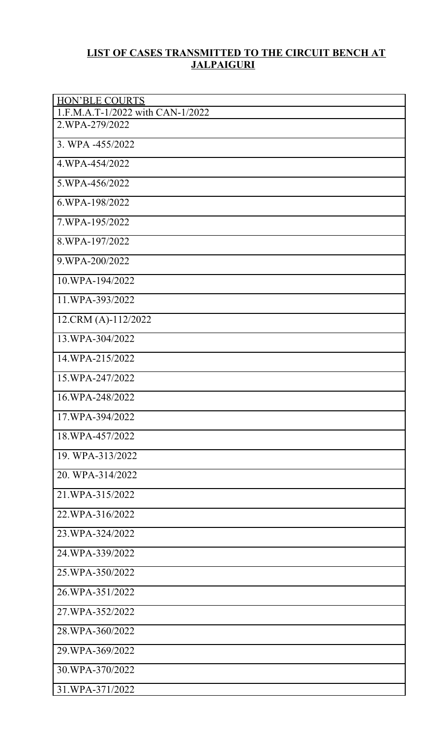## **LIST OF CASES TRANSMITTED TO THE CIRCUIT BENCH AT JALPAIGURI**

| <b>HON'BLE COURTS</b>            |
|----------------------------------|
| 1.F.M.A.T-1/2022 with CAN-1/2022 |
| 2.WPA-279/2022                   |
| 3. WPA -455/2022                 |
| 4.WPA-454/2022                   |
| 5.WPA-456/2022                   |
| 6.WPA-198/2022                   |
| 7.WPA-195/2022                   |
| 8.WPA-197/2022                   |
| 9.WPA-200/2022                   |
| 10.WPA-194/2022                  |
| 11.WPA-393/2022                  |
| 12.CRM (A)-112/2022              |
| 13.WPA-304/2022                  |
| 14.WPA-215/2022                  |
| 15.WPA-247/2022                  |
| 16.WPA-248/2022                  |
| 17.WPA-394/2022                  |
| 18.WPA-457/2022                  |
| 19. WPA-313/2022                 |
| 20. WPA-314/2022                 |
| 21.WPA-315/2022                  |
| 22.WPA-316/2022                  |
| 23.WPA-324/2022                  |
| 24.WPA-339/2022                  |
| 25.WPA-350/2022                  |
| 26.WPA-351/2022                  |
| 27.WPA-352/2022                  |
| 28.WPA-360/2022                  |
| 29.WPA-369/2022                  |
| 30.WPA-370/2022                  |
| 31.WPA-371/2022                  |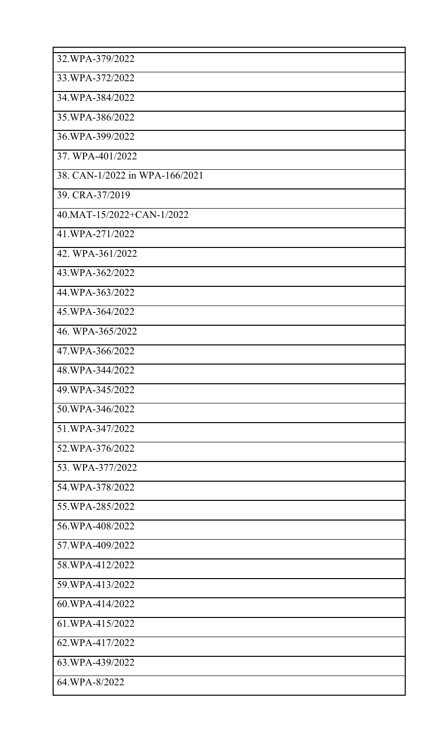| 32.WPA-379/2022                |
|--------------------------------|
| 33.WPA-372/2022                |
| 34.WPA-384/2022                |
| 35.WPA-386/2022                |
| 36.WPA-399/2022                |
| 37. WPA-401/2022               |
| 38. CAN-1/2022 in WPA-166/2021 |
| 39. CRA-37/2019                |
| 40.MAT-15/2022+CAN-1/2022      |
| 41.WPA-271/2022                |
| 42. WPA-361/2022               |
| 43.WPA-362/2022                |
| 44.WPA-363/2022                |
| 45.WPA-364/2022                |
| 46. WPA-365/2022               |
| 47.WPA-366/2022                |
| 48.WPA-344/2022                |
| 49.WPA-345/2022                |
| 50.WPA-346/2022                |
| 51.WPA-347/2022                |
| 52.WPA-376/2022                |
| 53. WPA-377/2022               |
| 54.WPA-378/2022                |
| 55.WPA-285/2022                |
| 56.WPA-408/2022                |
| 57.WPA-409/2022                |
| 58.WPA-412/2022                |
| 59.WPA-413/2022                |
| 60.WPA-414/2022                |
| 61.WPA-415/2022                |
| 62.WPA-417/2022                |
| 63.WPA-439/2022                |
| 64.WPA-8/2022                  |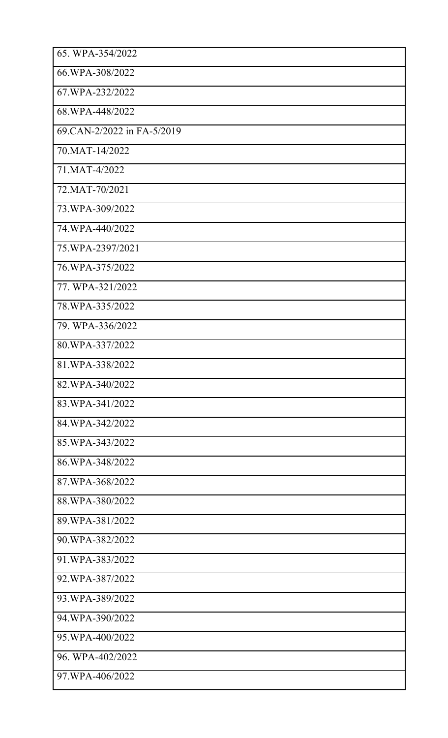| 65. WPA-354/2022           |
|----------------------------|
| 66.WPA-308/2022            |
| 67.WPA-232/2022            |
| 68.WPA-448/2022            |
| 69.CAN-2/2022 in FA-5/2019 |
| 70. MAT-14/2022            |
| 71.MAT-4/2022              |
| 72. MAT-70/2021            |
| 73.WPA-309/2022            |
| 74.WPA-440/2022            |
| 75.WPA-2397/2021           |
| 76.WPA-375/2022            |
| 77. WPA-321/2022           |
| 78.WPA-335/2022            |
| 79. WPA-336/2022           |
| 80.WPA-337/2022            |
| 81.WPA-338/2022            |
| 82.WPA-340/2022            |
| 83.WPA-341/2022            |
| 84.WPA-342/2022            |
| 85.WPA-343/2022            |
| 86.WPA-348/2022            |
| 87.WPA-368/2022            |
| 88.WPA-380/2022            |
| 89.WPA-381/2022            |
| 90.WPA-382/2022            |
| 91.WPA-383/2022            |
| 92.WPA-387/2022            |
| 93.WPA-389/2022            |
| 94.WPA-390/2022            |
| 95.WPA-400/2022            |
| 96. WPA-402/2022           |
| 97.WPA-406/2022            |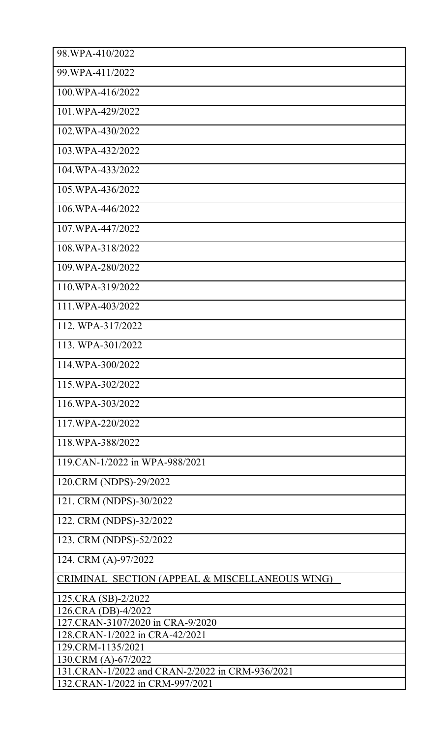| 98 WPA-410/2022                                                    |
|--------------------------------------------------------------------|
| 99.WPA-411/2022                                                    |
| 100.WPA-416/2022                                                   |
| 101.WPA-429/2022                                                   |
| 102.WPA-430/2022                                                   |
| 103.WPA-432/2022                                                   |
| 104.WPA-433/2022                                                   |
| 105.WPA-436/2022                                                   |
| 106.WPA-446/2022                                                   |
| 107.WPA-447/2022                                                   |
| 108.WPA-318/2022                                                   |
| 109.WPA-280/2022                                                   |
| 110.WPA-319/2022                                                   |
| 111.WPA-403/2022                                                   |
| 112. WPA-317/2022                                                  |
| 113. WPA-301/2022                                                  |
| 114.WPA-300/2022                                                   |
| 115.WPA-302/2022                                                   |
| 116.WPA-303/2022                                                   |
| 117.WPA-220/2022                                                   |
| 118.WPA-388/2022                                                   |
| 119 CAN-1/2022 in WPA-988/2021                                     |
| 120.CRM (NDPS)-29/2022                                             |
| 121. CRM (NDPS)-30/2022                                            |
| 122. CRM (NDPS)-32/2022                                            |
| 123. CRM (NDPS)-52/2022                                            |
| 124. CRM (A)-97/2022                                               |
| CRIMINAL SECTION (APPEAL & MISCELLANEOUS WING)                     |
| 125.CRA (SB)-2/2022                                                |
| 126.CRA (DB)-4/2022                                                |
| 127.CRAN-3107/2020 in CRA-9/2020<br>128.CRAN-1/2022 in CRA-42/2021 |
| 129.CRM-1135/2021                                                  |
| 130.CRM (A)-67/2022                                                |
| 131.CRAN-1/2022 and CRAN-2/2022 in CRM-936/2021                    |
| 132.CRAN-1/2022 in CRM-997/2021                                    |